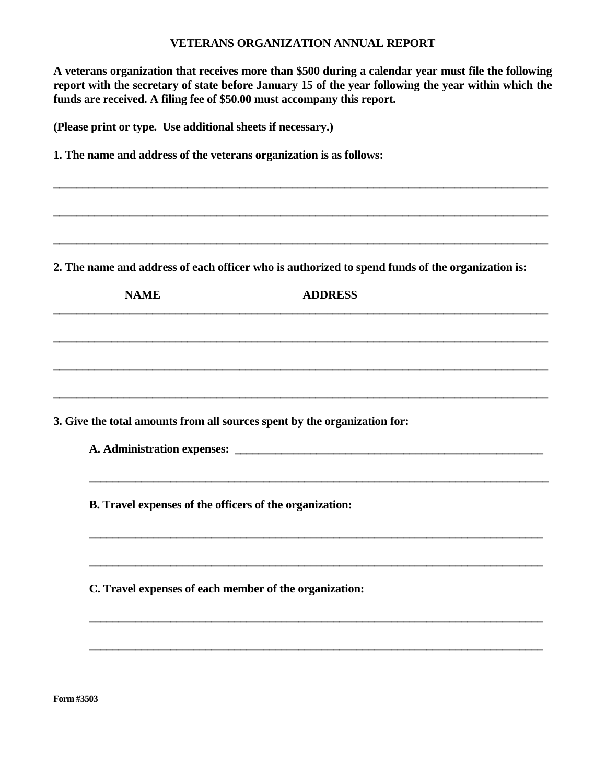## **VETERANS ORGANIZATION ANNUAL REPORT**

**A veterans organization that receives more than \$500 during a calendar year must file the following report with the secretary of state before January 15 of the year following the year within which the funds are received. A filing fee of \$50.00 must accompany this report.** 

**\_\_\_\_\_\_\_\_\_\_\_\_\_\_\_\_\_\_\_\_\_\_\_\_\_\_\_\_\_\_\_\_\_\_\_\_\_\_\_\_\_\_\_\_\_\_\_\_\_\_\_\_\_\_\_\_\_\_\_\_\_\_\_\_\_\_\_\_\_\_\_\_\_\_\_\_\_\_\_\_\_\_\_\_\_** 

**\_\_\_\_\_\_\_\_\_\_\_\_\_\_\_\_\_\_\_\_\_\_\_\_\_\_\_\_\_\_\_\_\_\_\_\_\_\_\_\_\_\_\_\_\_\_\_\_\_\_\_\_\_\_\_\_\_\_\_\_\_\_\_\_\_\_\_\_\_\_\_\_\_\_\_\_\_\_\_\_\_\_\_\_\_** 

**\_\_\_\_\_\_\_\_\_\_\_\_\_\_\_\_\_\_\_\_\_\_\_\_\_\_\_\_\_\_\_\_\_\_\_\_\_\_\_\_\_\_\_\_\_\_\_\_\_\_\_\_\_\_\_\_\_\_\_\_\_\_\_\_\_\_\_\_\_\_\_\_\_\_\_\_\_\_\_\_\_\_\_\_\_** 

**(Please print or type. Use additional sheets if necessary.)** 

**1. The name and address of the veterans organization is as follows:** 

**2. The name and address of each officer who is authorized to spend funds of the organization is:** 

**\_\_\_\_\_\_\_\_\_\_\_\_\_\_\_\_\_\_\_\_\_\_\_\_\_\_\_\_\_\_\_\_\_\_\_\_\_\_\_\_\_\_\_\_\_\_\_\_\_\_\_\_\_\_\_\_\_\_\_\_\_\_\_\_\_\_\_\_\_\_\_\_\_\_\_\_\_\_\_\_\_\_\_\_\_ \_\_\_\_\_\_\_\_\_\_\_\_\_\_\_\_\_\_\_\_\_\_\_\_\_\_\_\_\_\_\_\_\_\_\_\_\_\_\_\_\_\_\_\_\_\_\_\_\_\_\_\_\_\_\_\_\_\_\_\_\_\_\_\_\_\_\_\_\_\_\_\_\_\_\_\_\_\_\_\_\_\_\_\_\_ \_\_\_\_\_\_\_\_\_\_\_\_\_\_\_\_\_\_\_\_\_\_\_\_\_\_\_\_\_\_\_\_\_\_\_\_\_\_\_\_\_\_\_\_\_\_\_\_\_\_\_\_\_\_\_\_\_\_\_\_\_\_\_\_\_\_\_\_\_\_\_\_\_\_\_\_\_\_\_\_\_\_\_\_\_ \_\_\_\_\_\_\_\_\_\_\_\_\_\_\_\_\_\_\_\_\_\_\_\_\_\_\_\_\_\_\_\_\_\_\_\_\_\_\_\_\_\_\_\_\_\_\_\_\_\_\_\_\_\_\_\_\_\_\_\_\_\_\_\_\_\_\_\_\_\_\_\_\_\_\_\_\_\_\_\_\_\_\_\_\_ \_\_\_\_\_\_\_\_\_\_\_\_\_\_\_\_\_\_\_\_\_\_\_\_\_\_\_\_\_\_\_\_\_\_\_\_\_\_\_\_\_\_\_\_\_\_\_\_\_\_\_\_\_\_\_\_\_\_\_\_\_\_\_\_\_\_\_\_\_\_\_\_\_\_\_\_\_\_\_ \_\_\_\_\_\_\_\_\_\_\_\_\_\_\_\_\_\_\_\_\_\_\_\_\_\_\_\_\_\_\_\_\_\_\_\_\_\_\_\_\_\_\_\_\_\_\_\_\_\_\_\_\_\_\_\_\_\_\_\_\_\_\_\_\_\_\_\_\_\_\_\_\_\_\_\_\_\_ \_\_\_\_\_\_\_\_\_\_\_\_\_\_\_\_\_\_\_\_\_\_\_\_\_\_\_\_\_\_\_\_\_\_\_\_\_\_\_\_\_\_\_\_\_\_\_\_\_\_\_\_\_\_\_\_\_\_\_\_\_\_\_\_\_\_\_\_\_\_\_\_\_\_\_\_\_\_ NAME ADDRESS 3. Give the total amounts from all sources spent by the organization for: A. Administration expenses: \_\_\_\_\_\_\_\_\_\_\_\_\_\_\_\_\_\_\_\_\_\_\_\_\_\_\_\_\_\_\_\_\_\_\_\_\_\_\_\_\_\_\_\_\_\_\_\_\_\_\_\_\_ B. Travel expenses of the officers of the organization: C. Travel expenses of each member of the organization:** 

**\_\_\_\_\_\_\_\_\_\_\_\_\_\_\_\_\_\_\_\_\_\_\_\_\_\_\_\_\_\_\_\_\_\_\_\_\_\_\_\_\_\_\_\_\_\_\_\_\_\_\_\_\_\_\_\_\_\_\_\_\_\_\_\_\_\_\_\_\_\_\_\_\_\_\_\_\_\_** 

**\_\_\_\_\_\_\_\_\_\_\_\_\_\_\_\_\_\_\_\_\_\_\_\_\_\_\_\_\_\_\_\_\_\_\_\_\_\_\_\_\_\_\_\_\_\_\_\_\_\_\_\_\_\_\_\_\_\_\_\_\_\_\_\_\_\_\_\_\_\_\_\_\_\_\_\_\_\_** 

**Form #3503**